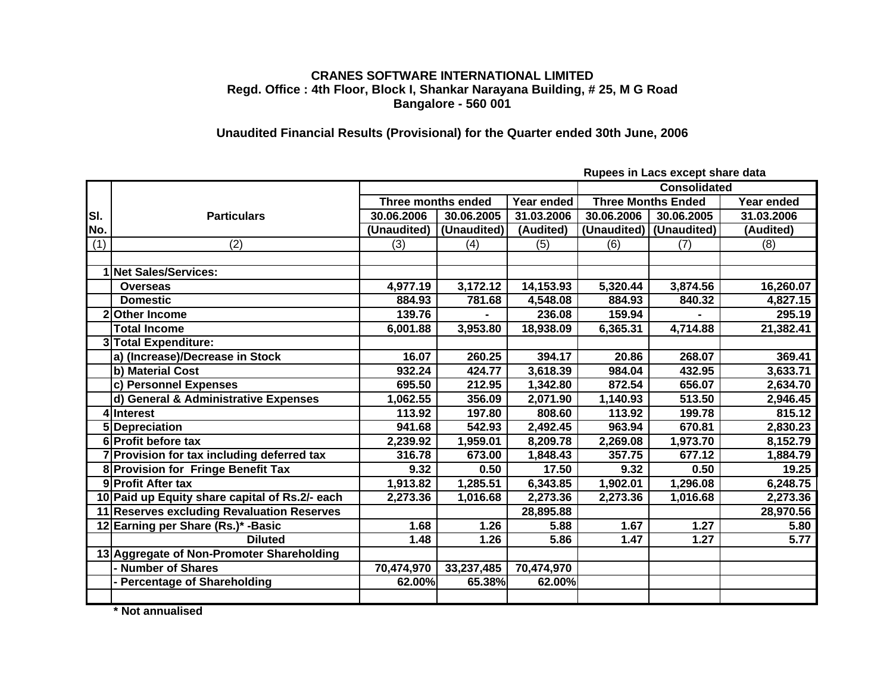## **CRANES SOFTWARE INTERNATIONAL LIMITED Regd. Office : 4th Floor, Block I, Shankar Narayana Building, # 25, M G Road Bangalore - 560 001**

## **Unaudited Financial Results (Provisional) for the Quarter ended 30th June, 2006**

|     |                                                |                           |             |                       |                           | napocs in Eacs choopt share aala |            |  |  |
|-----|------------------------------------------------|---------------------------|-------------|-----------------------|---------------------------|----------------------------------|------------|--|--|
|     |                                                |                           |             |                       | <b>Consolidated</b>       |                                  |            |  |  |
|     |                                                | <b>Three months ended</b> |             | Year ended            | <b>Three Months Ended</b> |                                  | Year ended |  |  |
| SI. | <b>Particulars</b>                             | 30.06.2006                | 30.06.2005  | 31.03.2006            | 30.06.2006                | 30.06.2005                       | 31.03.2006 |  |  |
| No. |                                                | (Unaudited)               | (Unaudited) | (Audited)             | (Unaudited)               | (Unaudited)                      | (Audited)  |  |  |
| (1) | (2)                                            | (3)                       | (4)         | (5)                   | (6)                       | (7)                              | (8)        |  |  |
|     |                                                |                           |             |                       |                           |                                  |            |  |  |
|     | 1 Net Sales/Services:                          |                           |             |                       |                           |                                  |            |  |  |
|     | <b>Overseas</b>                                | 4,977.19                  | 3,172.12    | 14,153.93             | 5,320.44                  | 3,874.56                         | 16,260.07  |  |  |
|     | <b>Domestic</b>                                | 884.93                    | 781.68      | 4,548.08              | 884.93                    | 840.32                           | 4,827.15   |  |  |
| 2   | <b>Other Income</b>                            | 139.76                    |             | 236.08                | 159.94                    |                                  | 295.19     |  |  |
|     | <b>Total Income</b>                            | 6,001.88                  | 3,953.80    | 18,938.09             | 6,365.31                  | 4,714.88                         | 21,382.41  |  |  |
|     | 3 Total Expenditure:                           |                           |             |                       |                           |                                  |            |  |  |
|     | a) (Increase)/Decrease in Stock                | 16.07                     | 260.25      | 394.17                | 20.86                     | 268.07                           | 369.41     |  |  |
|     | b) Material Cost                               | 932.24                    | 424.77      | 3,618.39              | 984.04                    | 432.95                           | 3,633.71   |  |  |
|     | c) Personnel Expenses                          | 695.50                    | 212.95      | 1,342.80              | 872.54                    | 656.07                           | 2,634.70   |  |  |
|     | d) General & Administrative Expenses           | 1,062.55                  | 356.09      | 2,071.90              | 1,140.93                  | 513.50                           | 2,946.45   |  |  |
|     | 4 Interest                                     | 113.92                    | 197.80      | 808.60                | 113.92                    | 199.78                           | 815.12     |  |  |
|     | 5 Depreciation                                 | 941.68                    | 542.93      | $\overline{2,}492.45$ | 963.94                    | 670.81                           | 2,830.23   |  |  |
|     | 6 Profit before tax                            | 2,239.92                  | 1,959.01    | 8,209.78              | 2,269.08                  | 1,973.70                         | 8,152.79   |  |  |
|     | 7 Provision for tax including deferred tax     | 316.78                    | 673.00      | 1,848.43              | 357.75                    | 677.12                           | 1,884.79   |  |  |
|     | 8 Provision for Fringe Benefit Tax             | 9.32                      | 0.50        | 17.50                 | 9.32                      | 0.50                             | 19.25      |  |  |
|     | 9 Profit After tax                             | 1,913.82                  | 1,285.51    | 6,343.85              | 1,902.01                  | 1,296.08                         | 6,248.75   |  |  |
|     | 10 Paid up Equity share capital of Rs.2/- each | 2,273.36                  | 1,016.68    | 2,273.36              | 2,273.36                  | 1,016.68                         | 2,273.36   |  |  |
|     | 11 Reserves excluding Revaluation Reserves     |                           |             | 28,895.88             |                           |                                  | 28,970.56  |  |  |
|     | 12 Earning per Share (Rs.)* - Basic            | 1.68                      | 1.26        | 5.88                  | 1.67                      | 1.27                             | 5.80       |  |  |
|     | <b>Diluted</b>                                 | 1.48                      | 1.26        | 5.86                  | 1.47                      | 1.27                             | 5.77       |  |  |
|     | 13 Aggregate of Non-Promoter Shareholding      |                           |             |                       |                           |                                  |            |  |  |
|     | - Number of Shares                             | 70,474,970                | 33,237,485  | 70,474,970            |                           |                                  |            |  |  |
|     | <b>Percentage of Shareholding</b>              | 62.00%                    | 65.38%      | 62.00%                |                           |                                  |            |  |  |
|     |                                                |                           |             |                       |                           |                                  |            |  |  |

**Rupees in Lacs except share data**

**\* Not annualised**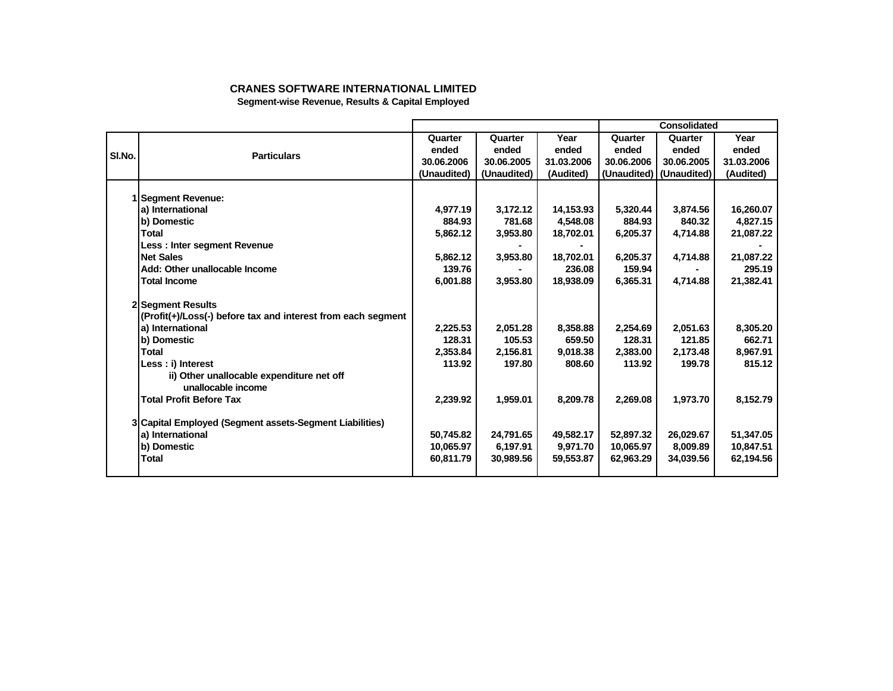## **CRANES SOFTWARE INTERNATIONAL LIMITED**

**Segment-wise Revenue, Results & Capital Employed**

|        |                                                              |             |             |            |            | Consolidated            |            |
|--------|--------------------------------------------------------------|-------------|-------------|------------|------------|-------------------------|------------|
|        |                                                              | Quarter     | Quarter     | Year       | Quarter    | Quarter                 | Year       |
| SI.No. | <b>Particulars</b>                                           | ended       | ended       | ended      | ended      | ended                   | ended      |
|        |                                                              | 30.06.2006  | 30.06.2005  | 31.03.2006 | 30.06.2006 | 30.06.2005              | 31.03.2006 |
|        |                                                              | (Unaudited) | (Unaudited) | (Audited)  |            | (Unaudited) (Unaudited) | (Audited)  |
|        |                                                              |             |             |            |            |                         |            |
|        | I Segment Revenue:                                           |             |             |            |            |                         |            |
|        | a) International                                             | 4,977.19    | 3,172.12    | 14,153.93  | 5,320.44   | 3,874.56                | 16,260.07  |
|        | b) Domestic                                                  | 884.93      | 781.68      | 4,548.08   | 884.93     | 840.32                  | 4,827.15   |
|        | Total                                                        | 5,862.12    | 3,953.80    | 18,702.01  | 6,205.37   | 4,714.88                | 21,087.22  |
|        | Less: Inter segment Revenue                                  |             |             |            |            |                         |            |
|        | <b>Net Sales</b>                                             | 5,862.12    | 3,953.80    | 18,702.01  | 6,205.37   | 4,714.88                | 21,087.22  |
|        | Add: Other unallocable Income                                | 139.76      |             | 236.08     | 159.94     |                         | 295.19     |
|        | <b>Total Income</b>                                          | 6,001.88    | 3,953.80    | 18,938.09  | 6,365.31   | 4,714.88                | 21,382.41  |
|        | 2 Segment Results                                            |             |             |            |            |                         |            |
|        | (Profit(+)/Loss(-) before tax and interest from each segment |             |             |            |            |                         |            |
|        | a) International                                             | 2,225.53    | 2,051.28    | 8,358.88   | 2,254.69   | 2,051.63                | 8,305.20   |
|        | b) Domestic                                                  | 128.31      | 105.53      | 659.50     | 128.31     | 121.85                  | 662.71     |
|        | Total                                                        | 2,353.84    | 2,156.81    | 9,018.38   | 2,383.00   | 2,173.48                | 8,967.91   |
|        | Less : i) Interest                                           | 113.92      | 197.80      | 808.60     | 113.92     | 199.78                  | 815.12     |
|        | ii) Other unallocable expenditure net off                    |             |             |            |            |                         |            |
|        | unallocable income                                           |             |             |            |            |                         |            |
|        | <b>Total Profit Before Tax</b>                               | 2,239.92    | 1,959.01    | 8,209.78   | 2,269.08   | 1,973.70                | 8,152.79   |
|        | 3 Capital Employed (Segment assets-Segment Liabilities)      |             |             |            |            |                         |            |
|        | a) International                                             | 50.745.82   | 24,791.65   | 49,582.17  | 52,897.32  | 26,029.67               | 51,347.05  |
|        | b) Domestic                                                  | 10,065.97   | 6,197.91    | 9,971.70   | 10,065.97  | 8,009.89                | 10,847.51  |
|        | <b>Total</b>                                                 | 60,811.79   | 30,989.56   | 59,553.87  | 62,963.29  | 34,039.56               | 62.194.56  |
|        |                                                              |             |             |            |            |                         |            |